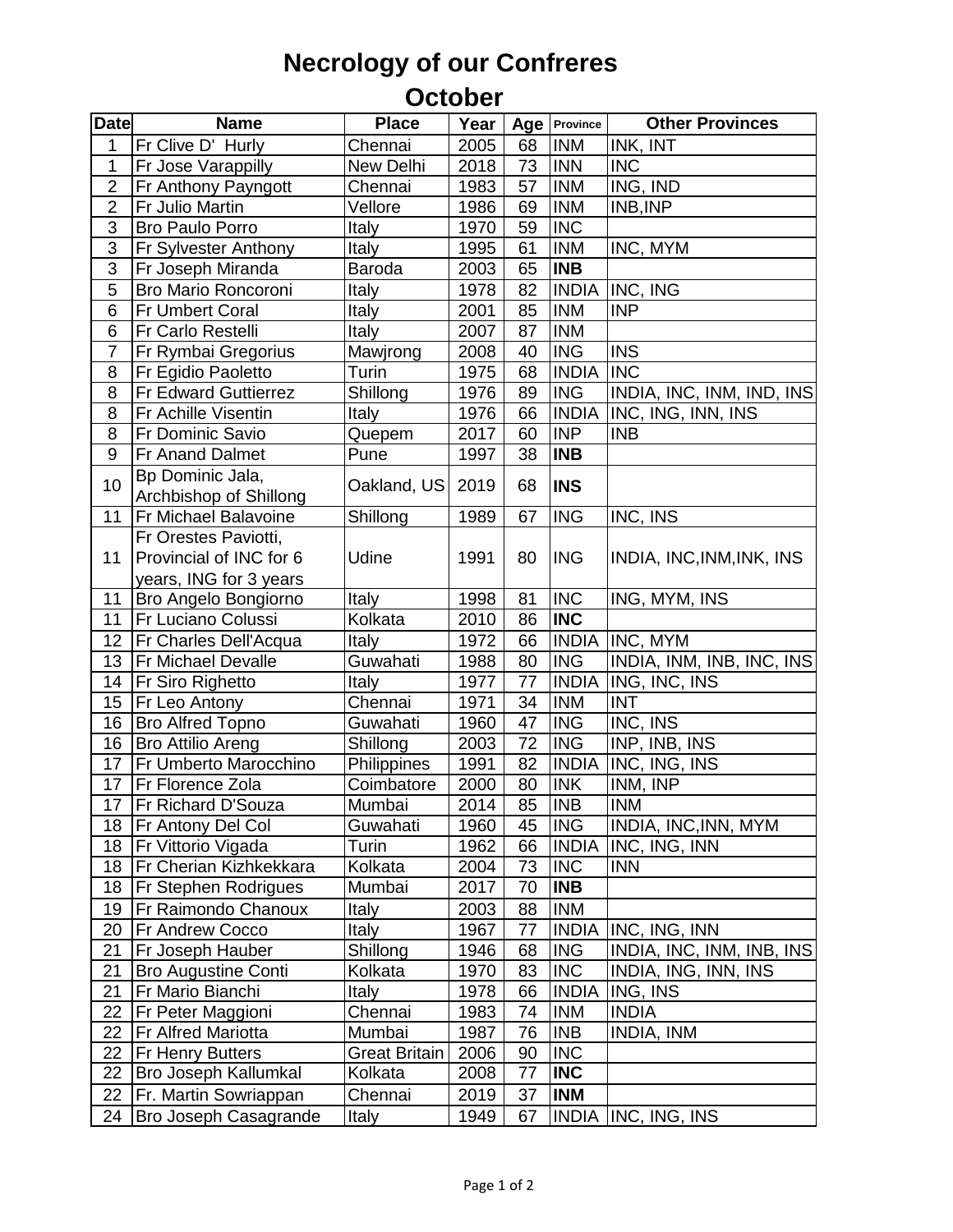## **Necrology of our Confreres**

## **October**

| <b>Date</b>     | <b>Name</b>                                | <b>Place</b>  | Year |    | Age   Province | <b>Other Provinces</b>    |
|-----------------|--------------------------------------------|---------------|------|----|----------------|---------------------------|
| 1               | Fr Clive D' Hurly                          | Chennai       | 2005 | 68 | <b>INM</b>     | INK, INT                  |
| 1               | Fr Jose Varappilly                         | New Delhi     | 2018 | 73 | <b>INN</b>     | <b>INC</b>                |
| $\overline{2}$  | Fr Anthony Payngott                        | Chennai       | 1983 | 57 | <b>INM</b>     | ING, IND                  |
| $\overline{2}$  | Fr Julio Martin                            | Vellore       | 1986 | 69 | <b>INM</b>     | INB, INP                  |
| $\overline{3}$  | <b>Bro Paulo Porro</b>                     | Italy         | 1970 | 59 | <b>INC</b>     |                           |
| $\overline{3}$  | Fr Sylvester Anthony                       | Italy         | 1995 | 61 | <b>INM</b>     | INC, MYM                  |
| 3               | Fr Joseph Miranda                          | <b>Baroda</b> | 2003 | 65 | <b>INB</b>     |                           |
| 5               | <b>Bro Mario Roncoroni</b>                 | Italy         | 1978 | 82 |                | <b>INDIA INC, ING</b>     |
| 6               | <b>Fr Umbert Coral</b>                     | Italy         | 2001 | 85 | <b>INM</b>     | <b>INP</b>                |
| 6               | Fr Carlo Restelli                          | Italy         | 2007 | 87 | <b>INM</b>     |                           |
| $\overline{7}$  | Fr Rymbai Gregorius                        | Mawjrong      | 2008 | 40 | <b>ING</b>     | <b>INS</b>                |
| 8               | Fr Egidio Paoletto                         | Turin         | 1975 | 68 | <b>INDIA</b>   | <b>INC</b>                |
| 8               | <b>Fr Edward Guttierrez</b>                | Shillong      | 1976 | 89 | <b>ING</b>     | INDIA, INC, INM, IND, INS |
| 8               | <b>Fr Achille Visentin</b>                 | <b>Italy</b>  | 1976 | 66 | <b>INDIA</b>   | INC, ING, INN, INS        |
| 8               | Fr Dominic Savio                           | Quepem        | 2017 | 60 | <b>INP</b>     | <b>INB</b>                |
| 9               | Fr Anand Dalmet                            | Pune          | 1997 | 38 | <b>INB</b>     |                           |
| 10              | Bp Dominic Jala,<br>Archbishop of Shillong | Oakland, US   | 2019 | 68 | <b>INS</b>     |                           |
| 11              | Fr Michael Balavoine                       | Shillong      | 1989 | 67 | <b>ING</b>     | INC, INS                  |
|                 | Fr Orestes Paviotti,                       |               |      |    |                |                           |
| 11              | Provincial of INC for 6                    | Udine         | 1991 | 80 | <b>ING</b>     | INDIA, INC, INM, INK, INS |
|                 | years, ING for 3 years                     |               |      |    |                |                           |
| 11              | <b>Bro Angelo Bongiorno</b>                | Italy         | 1998 | 81 | <b>INC</b>     | ING, MYM, INS             |
| 11              | <b>Fr Luciano Colussi</b>                  | Kolkata       | 2010 | 86 | <b>INC</b>     |                           |
| 12              | <b>Fr Charles Dell'Acqua</b>               | <b>Italy</b>  | 1972 | 66 |                | <b>INDIA INC, MYM</b>     |
| 13              | <b>Fr Michael Devalle</b>                  | Guwahati      | 1988 | 80 | <b>ING</b>     | INDIA, INM, INB, INC, INS |
| 14              | <b>Fr Siro Righetto</b>                    | Italy         | 1977 | 77 | <b>INDIA</b>   | ING, INC, INS             |
| 15 <sub>1</sub> | Fr Leo Antony                              | Chennai       | 1971 | 34 | <b>INM</b>     | <b>INT</b>                |
| 16              | <b>Bro Alfred Topno</b>                    | Guwahati      | 1960 | 47 | <b>ING</b>     | INC, INS                  |
| 16              | <b>Bro Attilio Areng</b>                   | Shillong      | 2003 | 72 | <b>ING</b>     | INP, INB, INS             |
| 17              | <b>Fr Umberto Marocchino</b>               | Philippines   | 1991 | 82 |                | INDIA INC, ING, INS       |
| 17              | <b>Fr Florence Zola</b>                    | Coimbatore    | 2000 | 80 | <b>INK</b>     | INM, INP                  |
| 17              | <b>Fr Richard D'Souza</b>                  | Mumbai        | 2014 | 85 | <b>INB</b>     | <b>INM</b>                |
| 18              | <b>Fr Antony Del Col</b>                   | Guwahati      | 1960 | 45 | <b>ING</b>     | INDIA, INC, INN, MYM      |
| 18              | <b>Fr Vittorio Vigada</b>                  | Turin         | 1962 | 66 | <b>INDIA</b>   | INC, ING, INN             |
| 18              | Fr Cherian Kizhkekkara                     | Kolkata       | 2004 | 73 | <b>INC</b>     | <b>INN</b>                |
| 18              | <b>Fr Stephen Rodrigues</b>                | Mumbai        | 2017 | 70 | <b>INB</b>     |                           |
| 19              | Fr Raimondo Chanoux                        | Italy         | 2003 | 88 | <b>INM</b>     |                           |
| 20              | <b>Fr Andrew Cocco</b>                     | <b>Italy</b>  | 1967 | 77 |                | INDIA INC, ING, INN       |
| 21              | Fr Joseph Hauber                           | Shillong      | 1946 | 68 | <b>ING</b>     | INDIA, INC, INM, INB, INS |
| 21              | <b>Bro Augustine Conti</b>                 | Kolkata       | 1970 | 83 | <b>INC</b>     | INDIA, ING, INN, INS      |
| 21              | Fr Mario Bianchi                           | Italy         | 1978 | 66 | <b>INDIA</b>   | ING, INS                  |
| 22              | Fr Peter Maggioni                          | Chennai       | 1983 | 74 | <b>INM</b>     | <b>INDIA</b>              |
| 22              | <b>Fr Alfred Mariotta</b>                  | Mumbai        | 1987 | 76 | <b>INB</b>     | <b>INDIA, INM</b>         |
| 22              | <b>Fr Henry Butters</b>                    | Great Britain | 2006 | 90 | <b>INC</b>     |                           |
| 22              | <b>Bro Joseph Kallumkal</b>                | Kolkata       | 2008 | 77 | <b>INC</b>     |                           |
| 22              | Fr. Martin Sowriappan                      | Chennai       | 2019 | 37 | <b>INM</b>     |                           |
| 24              | Bro Joseph Casagrande                      | Italy         | 1949 | 67 | <b>INDIA</b>   | INC, ING, INS             |